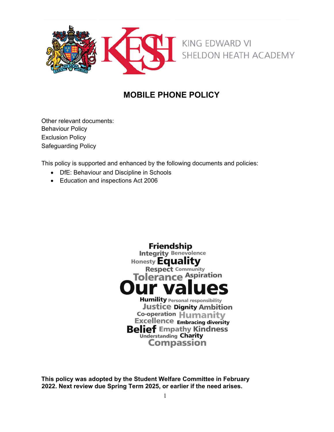

# **MOBILE PHONE POLICY**

Other relevant documents: Behaviour Policy Exclusion Policy Safeguarding Policy

This policy is supported and enhanced by the following documents and policies:

- DfE: Behaviour and Discipline in Schools
- Education and inspections Act 2006



**This policy was adopted by the Student Welfare Committee in February 2022. Next review due Spring Term 2025, or earlier if the need arises.**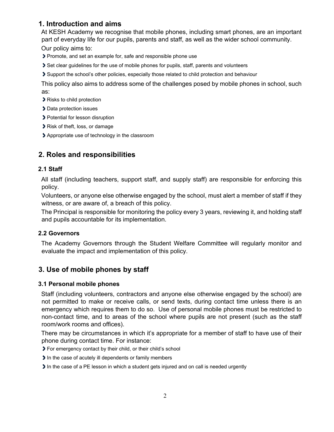# **1. Introduction and aims**

At KESH Academy we recognise that mobile phones, including smart phones, are an important part of everyday life for our pupils, parents and staff, as well as the wider school community. Our policy aims to:

- Promote, and set an example for, safe and responsible phone use
- Set clear guidelines for the use of mobile phones for pupils, staff, parents and volunteers
- Support the school's other policies, especially those related to child protection and behaviour

This policy also aims to address some of the challenges posed by mobile phones in school, such as:

- Risks to child protection
- Data protection issues
- > Potential for lesson disruption
- Risk of theft, loss, or damage
- Appropriate use of technology in the classroom

# **2. Roles and responsibilities**

### **2.1 Staff**

All staff (including teachers, support staff, and supply staff) are responsible for enforcing this policy.

Volunteers, or anyone else otherwise engaged by the school, must alert a member of staff if they witness, or are aware of, a breach of this policy.

The Principal is responsible for monitoring the policy every 3 years, reviewing it, and holding staff and pupils accountable for its implementation.

### **2.2 Governors**

The Academy Governors through the Student Welfare Committee will regularly monitor and evaluate the impact and implementation of this policy.

# **3. Use of mobile phones by staff**

### **3.1 Personal mobile phones**

Staff (including volunteers, contractors and anyone else otherwise engaged by the school) are not permitted to make or receive calls, or send texts, during contact time unless there is an emergency which requires them to do so. Use of personal mobile phones must be restricted to non-contact time, and to areas of the school where pupils are not present (such as the staff room/work rooms and offices).

There may be circumstances in which it's appropriate for a member of staff to have use of their phone during contact time. For instance:

For emergency contact by their child, or their child's school

In the case of acutely ill dependents or family members

In the case of a PE lesson in which a student gets injured and on call is needed urgently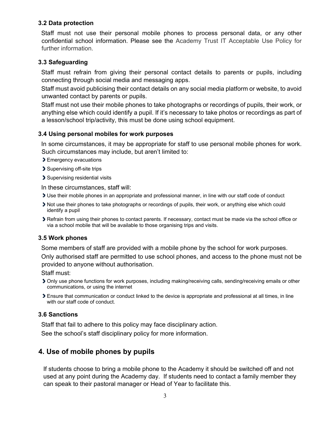### **3.2 Data protection**

Staff must not use their personal mobile phones to process personal data, or any other confidential school information. Please see the Academy Trust IT Acceptable Use Policy for further information.

#### **3.3 Safeguarding**

Staff must refrain from giving their personal contact details to parents or pupils, including connecting through social media and messaging apps.

Staff must avoid publicising their contact details on any social media platform or website, to avoid unwanted contact by parents or pupils.

Staff must not use their mobile phones to take photographs or recordings of pupils, their work, or anything else which could identify a pupil. If it's necessary to take photos or recordings as part of a lesson/school trip/activity, this must be done using school equipment.

#### **3.4 Using personal mobiles for work purposes**

In some circumstances, it may be appropriate for staff to use personal mobile phones for work. Such circumstances may include, but aren't limited to:

- Emergency evacuations
- Supervising off-site trips
- Supervising residential visits

In these circumstances, staff will:

- Use their mobile phones in an appropriate and professional manner, in line with our staff code of conduct
- Not use their phones to take photographs or recordings of pupils, their work, or anything else which could identify a pupil
- Refrain from using their phones to contact parents. If necessary, contact must be made via the school office or via a school mobile that will be available to those organising trips and visits.

#### **3.5 Work phones**

Some members of staff are provided with a mobile phone by the school for work purposes.

Only authorised staff are permitted to use school phones, and access to the phone must not be provided to anyone without authorisation.

Staff must:

- Only use phone functions for work purposes, including making/receiving calls, sending/receiving emails or other communications, or using the internet
- Ensure that communication or conduct linked to the device is appropriate and professional at all times, in line with our staff code of conduct.

#### **3.6 Sanctions**

Staff that fail to adhere to this policy may face disciplinary action.

See the school's staff disciplinary policy for more information.

### **4. Use of mobile phones by pupils**

If students choose to bring a mobile phone to the Academy it should be switched off and not used at any point during the Academy day. If students need to contact a family member they can speak to their pastoral manager or Head of Year to facilitate this.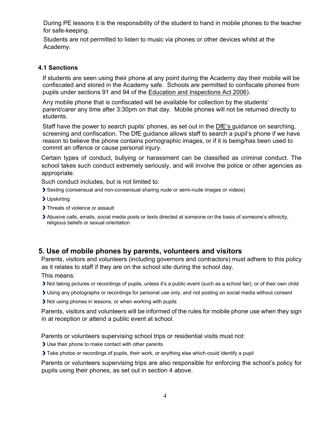During PE lessons it is the responsibility of the student to hand in mobile phones to the teacher for safe-keeping.

Students are not permitted to listen to music via phones or other devices whilst at the Academy.

### **4.1 Sanctions**

If students are seen using their phone at any point during the Academy day their mobile will be confiscated and stored in the Academy safe. Schools are permitted to confiscate phones from pupils under sections 91 and 94 of the Education and Inspections Act 2006).

Any mobile phone that is confiscated will be available for collection by the students' parent/carer any time after 3:30pm on that day. Mobile phones will not be returned directly to students.

Staff have the power to search pupils' phones, as set out in the DfE's guidance on searching, screening and confiscation. The DfE guidance allows staff to search a pupil's phone if we have reason to believe the phone contains pornographic images, or if it is being/has been used to commit an offence or cause personal injury.

Certain types of conduct, bullying or harassment can be classified as criminal conduct. The school takes such conduct extremely seriously, and will involve the police or other agencies as appropriate.

Such conduct includes, but is not limited to:

- Sexting (consensual and non-consensual sharing nude or semi-nude images or videos)
- Upskirting
- > Threats of violence or assault
- Abusive calls, emails, social media posts or texts directed at someone on the basis of someone's ethnicity, religious beliefs or sexual orientation

# **5. Use of mobile phones by parents, volunteers and visitors**

Parents, visitors and volunteers (including governors and contractors) must adhere to this policy as it relates to staff if they are on the school site during the school day.

This means:

Not taking pictures or recordings of pupils, unless it's a public event (such as a school fair), or of their own child

Using any photographs or recordings for personal use only, and not posting on social media without consent

Not using phones in lessons, or when working with pupils

Parents, visitors and volunteers will be informed of the rules for mobile phone use when they sign in at reception or attend a public event at school.

Parents or volunteers supervising school trips or residential visits must not:

If Use their phone to make contact with other parents

Take photos or recordings of pupils, their work, or anything else which could identify a pupil

Parents or volunteers supervising trips are also responsible for enforcing the school's policy for pupils using their phones, as set out in section 4 above.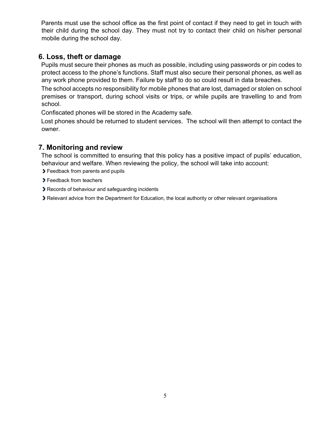Parents must use the school office as the first point of contact if they need to get in touch with their child during the school day. They must not try to contact their child on his/her personal mobile during the school day.

# **6. Loss, theft or damage**

Pupils must secure their phones as much as possible, including using passwords or pin codes to protect access to the phone's functions. Staff must also secure their personal phones, as well as any work phone provided to them. Failure by staff to do so could result in data breaches.

The school accepts no responsibility for mobile phones that are lost, damaged or stolen on school premises or transport, during school visits or trips, or while pupils are travelling to and from school.

Confiscated phones will be stored in the Academy safe.

Lost phones should be returned to student services. The school will then attempt to contact the owner.

# **7. Monitoring and review**

The school is committed to ensuring that this policy has a positive impact of pupils' education, behaviour and welfare. When reviewing the policy, the school will take into account:

- **>** Feedback from parents and pupils
- **>** Feedback from teachers
- Records of behaviour and safeguarding incidents
- Relevant advice from the Department for Education, the local authority or other relevant organisations